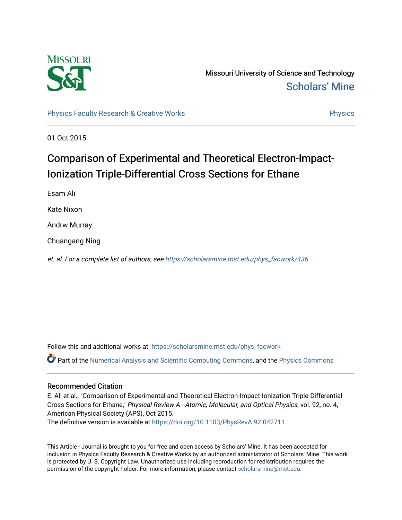

Missouri University of Science and Technology [Scholars' Mine](https://scholarsmine.mst.edu/) 

[Physics Faculty Research & Creative Works](https://scholarsmine.mst.edu/phys_facwork) **Physics** [Physics](https://scholarsmine.mst.edu/phys) **Physics** 

01 Oct 2015

# Comparison of Experimental and Theoretical Electron-Impact-Ionization Triple-Differential Cross Sections for Ethane

Esam Ali

Kate Nixon

Andrw Murray

Chuangang Ning

et. al. For a complete list of authors, see [https://scholarsmine.mst.edu/phys\\_facwork/436](https://scholarsmine.mst.edu/phys_facwork/436)

Follow this and additional works at: [https://scholarsmine.mst.edu/phys\\_facwork](https://scholarsmine.mst.edu/phys_facwork?utm_source=scholarsmine.mst.edu%2Fphys_facwork%2F436&utm_medium=PDF&utm_campaign=PDFCoverPages) 

Part of the [Numerical Analysis and Scientific Computing Commons](http://network.bepress.com/hgg/discipline/147?utm_source=scholarsmine.mst.edu%2Fphys_facwork%2F436&utm_medium=PDF&utm_campaign=PDFCoverPages), and the [Physics Commons](http://network.bepress.com/hgg/discipline/193?utm_source=scholarsmine.mst.edu%2Fphys_facwork%2F436&utm_medium=PDF&utm_campaign=PDFCoverPages)

## Recommended Citation

E. Ali et al., "Comparison of Experimental and Theoretical Electron-Impact-Ionization Triple-Differential Cross Sections for Ethane," Physical Review A - Atomic, Molecular, and Optical Physics, vol. 92, no. 4, American Physical Society (APS), Oct 2015. The definitive version is available at <https://doi.org/10.1103/PhysRevA.92.042711>

This Article - Journal is brought to you for free and open access by Scholars' Mine. It has been accepted for inclusion in Physics Faculty Research & Creative Works by an authorized administrator of Scholars' Mine. This work is protected by U. S. Copyright Law. Unauthorized use including reproduction for redistribution requires the permission of the copyright holder. For more information, please contact [scholarsmine@mst.edu](mailto:scholarsmine@mst.edu).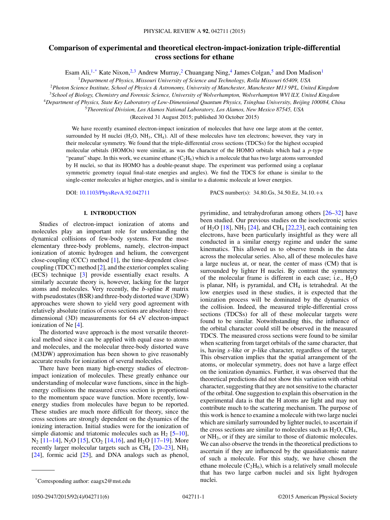## **Comparison of experimental and theoretical electron-impact-ionization triple-differential cross sections for ethane**

Esam Ali,<sup>1,\*</sup> Kate Nixon,<sup>2,3</sup> Andrew Murray,<sup>2</sup> Chuangang Ning,<sup>4</sup> James Colgan,<sup>5</sup> and Don Madison<sup>1</sup>

<sup>1</sup>*Department of Physics, Missouri University of Science and Technology, Rolla Missouri 65409, USA*

<sup>2</sup>*Photon Science Institute, School of Physics & Astronomy, University of Manchester, Manchester M13 9PL, United Kingdom*

<sup>3</sup>*School of Biology, Chemistry and Forensic Science, University of Wolverhampton, Wolverhampton WVl lLY, United Kingdom*

<sup>4</sup>*Department of Physics, State Key Laboratory of Low-Dimensional Quantum Physics, Tsinghua University, Beijing 100084, China*

<sup>5</sup>*Theoretical Division, Los Alamos National Laboratory, Los Alamos, New Mexico 87545, USA*

(Received 31 August 2015; published 30 October 2015)

We have recently examined electron-impact ionization of molecules that have one large atom at the center, surrounded by H nuclei ( $H_2O$ ,  $NH_3$ ,  $CH_4$ ). All of these molecules have ten electrons; however, they vary in their molecular symmetry. We found that the triple-differential cross sections (TDCSs) for the highest occupied molecular orbitals (HOMOs) were similar, as was the character of the HOMO orbitals which had a *p*-type "peanut" shape. In this work, we examine ethane  $(C_2H_6)$  which is a molecule that has two large atoms surrounded by H nuclei, so that its HOMO has a double-peanut shape. The experiment was performed using a coplanar symmetric geometry (equal final-state energies and angles). We find the TDCS for ethane is similar to the single-center molecules at higher energies, and is similar to a diatomic molecule at lower energies.

DOI: [10.1103/PhysRevA.92.042711](http://dx.doi.org/10.1103/PhysRevA.92.042711) PACS number(s): 34*.*80*.*Gs*,* 34*.*50*.*Ez*,* 34*.*10*.*+x

### **I. INTRODUCTION**

Studies of electron-impact ionization of atoms and molecules play an important role for understanding the dynamical collisions of few-body systems. For the most elementary three-body problems, namely, electron-impact ionization of atomic hydrogen and helium, the convergent close-coupling (CCC) method [\[1\]](#page-5-0), the time-dependent closecoupling (TDCC) method [\[2\]](#page-5-0), and the exterior complex scaling (ECS) technique [\[3\]](#page-5-0) provide essentially exact results. A similarly accurate theory is, however, lacking for the larger atoms and molecules. Very recently, the *b*-spline *R* matrix with pseudostates (BSR) and three-body distorted wave (3DW) approaches were shown to yield very good agreement with relatively absolute (ratios of cross sections are absolute) threedimensional (3D) measurements for 64 eV electron-impact ionization of Ne [\[4\]](#page-5-0).

The distorted wave approach is the most versatile theoretical method since it can be applied with equal ease to atoms and molecules, and the molecular three-body distorted wave (M3DW) approximation has been shown to give reasonably accurate results for ionization of several molecules.

There have been many high-energy studies of electronimpact ionization of molecules. These greatly enhance our understanding of molecular wave functions, since in the highenergy collisions the measured cross section is proportional to the momentum space wave function. More recently, lowenergy studies from molecules have begun to be reported. These studies are much more difficult for theory, since the cross sections are strongly dependent on the dynamics of the ionizing interaction. Initial studies were for the ionization of simple diatomic and triatomic molecules such as  $H_2$  [\[5–](#page-5-0)[10\]](#page-6-0),  $N_2$  [\[11–14\]](#page-6-0),  $N_2$ O [\[15\]](#page-6-0), CO<sub>2</sub> [\[14,16\]](#page-6-0), and H<sub>2</sub>O [\[17–19\]](#page-6-0). More recently larger molecular targets such as  $CH<sub>4</sub>$  [\[20–23\]](#page-6-0), NH<sub>3</sub> [\[24\]](#page-6-0), formic acid [\[25\]](#page-6-0), and DNA analogs such as phenol,

pyrimidine, and tetrahydrofuran among others [\[26–32\]](#page-6-0) have been studied. Our previous studies on the isoelectronic series of H<sub>2</sub>O [\[18\]](#page-6-0), NH<sub>3</sub> [\[24\]](#page-6-0), and CH<sub>4</sub> [\[22,23\]](#page-6-0), each containing ten electrons, have been particularly insightful as they were all conducted in a similar energy regime and under the same kinematics. This allowed us to observe trends in the data across the molecular series. Also, all of these molecules have a large nucleus at, or near, the center of mass (CM) that is surrounded by lighter H nuclei. By contrast the symmetry of the molecular frame is different in each case; i.e.,  $H_2O$ is planar,  $NH<sub>3</sub>$  is pyramidal, and CH<sub>4</sub> is tetrahedral. At the low energies used in these studies, it is expected that the ionization process will be dominated by the dynamics of the collision. Indeed, the measured triple-differential cross sections (TDCSs) for all of these molecular targets were found to be similar. Notwithstanding this, the influence of the orbital character could still be observed in the measured TDCS. The measured cross sections were found to be similar when scattering from target orbitals of the same character, that is, having *s*-like or *p*-like character, regardless of the target. This observation implies that the spatial arrangement of the atoms, or molecular symmetry, does not have a large effect on the ionization dynamics. Further, it was observed that the theoretical predictions did not show this variation with orbital character, suggesting that they are not sensitive to the character of the orbital. One suggestion to explain this observation in the experimental data is that the H atoms are light and may not contribute much to the scattering mechanism. The purpose of this work is hence to examine a molecule with two large nuclei which are similarly surrounded by lighter nuclei, to ascertain if the cross sections are similar to molecules such as  $H_2O$ ,  $CH_4$ , or NH3, or if they are similar to those of diatomic molecules. We can also observe the trends in the theoretical predictions to ascertain if they are influenced by the quasidiatomic nature of such a molecule. For this study, we have chosen the ethane molecule  $(C_2H_6)$ , which is a relatively small molecule that has two large carbon nuclei and six light hydrogen nuclei.

<sup>\*</sup>Corresponding author: eaagx2@mst.edu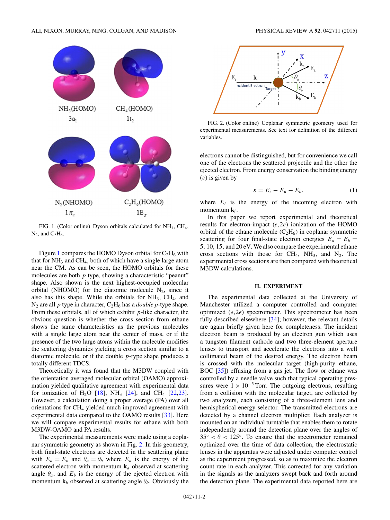<span id="page-2-0"></span>

FIG. 1. (Color online) Dyson orbitals calculated for NH<sub>3</sub>, CH<sub>4</sub>,  $N_2$ , and  $C_2H_6$ .

Figure 1 compares the HOMO Dyson orbital for  $C_2H_6$  with that for  $NH<sub>3</sub>$  and  $CH<sub>4</sub>$ , both of which have a single large atom near the CM. As can be seen, the HOMO orbitals for these molecules are both *p* type, showing a characteristic "peanut" shape. Also shown is the next highest-occupied molecular orbital (NHOMO) for the diatomic molecule  $N_2$ , since it also has this shape. While the orbitals for  $NH<sub>3</sub>$ ,  $CH<sub>4</sub>$ , and  $N_2$  are all *p* type in character,  $C_2H_6$  has a *double p*-type shape. From these orbitals, all of which exhibit *p*-like character, the obvious question is whether the cross section from ethane shows the same characteristics as the previous molecules with a single large atom near the center of mass, or if the presence of the two large atoms within the molecule modifies the scattering dynamics yielding a cross section similar to a diatomic molecule, or if the double *p*-type shape produces a totally different TDCS.

Theoretically it was found that the M3DW coupled with the orientation averaged molecular orbital (OAMO) approximation yielded qualitative agreement with experimental data for ionization of H<sub>2</sub>O [\[18\]](#page-6-0), NH<sub>3</sub> [\[24\]](#page-6-0), and CH<sub>4</sub> [\[22,23\]](#page-6-0). However, a calculation doing a proper average (PA) over all orientations for CH4 yielded much improved agreement with experimental data compared to the OAMO results [\[33\]](#page-6-0). Here we will compare experimental results for ethane with both M3DW-OAMO and PA results.

The experimental measurements were made using a coplanar symmetric geometry as shown in Fig. 2. In this geometry, both final-state electrons are detected in the scattering plane with  $E_a = E_b$  and  $\theta_a = \theta_b$  where  $E_a$  is the energy of the scattered electron with momentum **k***<sup>a</sup>* observed at scattering angle  $\theta_a$ , and  $E_b$  is the energy of the ejected electron with momentum  $\mathbf{k}_b$  observed at scattering angle  $\theta_b$ . Obviously the



FIG. 2. (Color online) Coplanar symmetric geometry used for experimental measurements. See text for definition of the different variables.

electrons cannot be distinguished, but for convenience we call one of the electrons the scattered projectile and the other the ejected electron. From energy conservation the binding energy (*ε*) is given by

$$
\varepsilon = E_i - E_a - E_b,\tag{1}
$$

where  $E_i$  is the energy of the incoming electron with momentum **k***i*.

In this paper we report experimental and theoretical results for electron-impact (*e,*2*e*) ionization of the HOMO orbital of the ethane molecule  $(C_2H_6)$  in coplanar symmetric scattering for four final-state electron energies  $E_a = E_b$  = 5*,* 10*,* 15*,* and 20 eV. We also compare the experimental ethane cross sections with those for  $CH_4$ ,  $NH_3$ , and  $N_2$ . The experimental cross sections are then compared with theoretical M3DW calculations.

#### **II. EXPERIMENT**

The experimental data collected at the University of Manchester utilized a computer controlled and computer optimized (*e,*2*e*) spectrometer. This spectrometer has been fully described elsewhere [\[34\]](#page-6-0); however, the relevant details are again briefly given here for completeness. The incident electron beam is produced by an electron gun which uses a tungsten filament cathode and two three-element aperture lenses to transport and accelerate the electrons into a well collimated beam of the desired energy. The electron beam is crossed with the molecular target (high-purity ethane, BOC [\[35\]](#page-6-0)) effusing from a gas jet. The flow or ethane was controlled by a needle valve such that typical operating pressures were  $1 \times 10^{-5}$  Torr. The outgoing electrons, resulting from a collision with the molecular target, are collected by two analyzers, each consisting of a three-element lens and hemispherical energy selector. The transmitted electrons are detected by a channel electron multiplier. Each analyzer is mounted on an individual turntable that enables them to rotate independently around the detection plane over the angles of  $35° < \theta < 125°$ . To ensure that the spectrometer remained optimized over the time of data collection, the electrostatic lenses in the apparatus were adjusted under computer control as the experiment progressed, so as to maximize the electron count rate in each analyzer. This corrected for any variation in the signals as the analyzers swept back and forth around the detection plane. The experimental data reported here are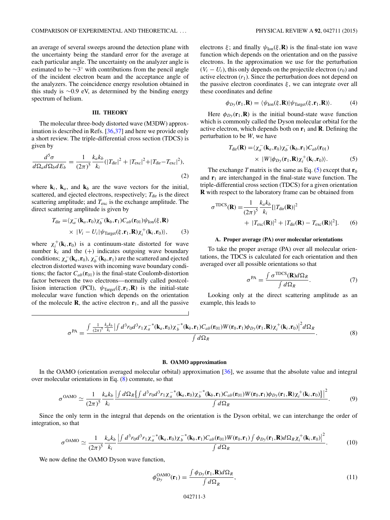an average of several sweeps around the detection plane with the uncertainty being the standard error for the average at each particular angle. The uncertainty on the analyzer angle is estimated to be ∼3◦ with contributions from the pencil angle of the incident electron beam and the acceptance angle of the analyzers. The coincidence energy resolution obtained in this study is ∼0.9 eV, as determined by the binding energy spectrum of helium.

#### **III. THEORY**

The molecular three-body distorted wave (M3DW) approximation is described in Refs. [\[36,37\]](#page-6-0) and here we provide only a short review. The triple-differential cross section (TDCS) is given by

$$
\frac{d^5 \sigma}{d \Omega_a d \Omega_b d E_b} = \frac{1}{(2\pi)^5} \frac{k_a k_b}{k_i} (|T_{\text{dir}}|^2 + |T_{\text{exc}}|^2 + |T_{\text{dir}} - T_{\text{exc}}|^2),\tag{2}
$$

where  $\mathbf{k}_i$ ,  $\mathbf{k}_a$ , and  $\mathbf{k}_b$  are the wave vectors for the initial, scattered, and ejected electrons, respectively; T<sub>dir</sub> is the direct scattering amplitude; and  $T_{\text{exc}}$  is the exchange amplitude. The direct scattering amplitude is given by

$$
T_{\text{dir}} = \langle \chi_a^-(\mathbf{k}_a, \mathbf{r}_0) \chi_b^-(\mathbf{k}_b, \mathbf{r}_1) C_{ab}(\mathbf{r}_{01}) \psi_{\text{Ion}}(\xi, \mathbf{R})
$$
  
×  $|V_i - U_i| \psi_{\text{Target}}(\xi, \mathbf{r}_1, \mathbf{R}) \chi_i^+(\mathbf{k}_i, \mathbf{r}_0) \rangle,$  (3)

where  $\chi_i^+({\bf k}_i, {\bf r}_0)$  is a continuum-state distorted for wave number  $k_i$  and the  $(+)$  indicates outgoing wave boundary conditions;  $\chi_a^-(\mathbf{k}_a, \mathbf{r}_0), \chi_b^-(\mathbf{k}_b, \mathbf{r}_1)$  are the scattered and ejected electron distorted waves with incoming wave boundary conditions; the factor  $C_{ab}(\mathbf{r}_{01})$  is the final-state Coulomb-distortion factor between the two electrons—normally called postcollision interaction (PCI),  $\psi_{\text{Target}}(\xi, \mathbf{r}_1, \mathbf{R})$  is the initial-state molecular wave function which depends on the orientation of the molecule **R**, the active electron  $\mathbf{r}_1$ , and all the passive electrons  $\xi$ ; and finally  $\psi_{\text{Ion}}(\xi, \mathbf{R})$  is the final-state ion wave function which depends on the orientation and on the passive electrons. In the approximation we use for the perturbation  $(V_i - U_i)$ , this only depends on the projectile electron  $(r_0)$  and active electron  $(r_1)$ . Since the perturbation does not depend on the passive electron coordinates  $\xi$ , we can integrate over all these coordinates and define

$$
\phi_{Dy}(\mathbf{r}_1, \mathbf{R}) = \langle \psi_{\text{Ion}}(\xi, \mathbf{R}) | \psi_{\text{Target}}(\xi, \mathbf{r}_1, \mathbf{R}) \rangle. \tag{4}
$$

Here  $\phi_{Dy}(\mathbf{r}_1, \mathbf{R})$  is the initial bound-state wave function which is commonly called the Dyson molecular orbital for the active electron, which depends both on  $\mathbf{r}_1$  and **R**. Defining the perturbation to be *W*, we have

$$
T_{\text{dir}}(\mathbf{R}) = \langle \chi_a^-(\mathbf{k}_a, \mathbf{r}_0) \chi_b^-(\mathbf{k}_b, \mathbf{r}_1) C_{ab}(\mathbf{r}_{01}) \times |W| \phi_{D\text{y}}(\mathbf{r}_1, \mathbf{R}) \chi_i^+(\mathbf{k}_i, \mathbf{r}_0) \rangle. \tag{5}
$$

The exchange *T* matrix is the same as Eq. (5) except that  $\mathbf{r}_0$ and  $\mathbf{r}_1$  are interchanged in the final-state wave function. The triple-differential cross section (TDCS) for a given orientation **R** with respect to the laboratory frame can be obtained from

$$
\sigma^{\text{TDCS}}(\mathbf{R}) = \frac{1}{(2\pi)^5} \frac{k_a k_b}{k_i} [|T_{\text{dir}}(\mathbf{R})|^2 + |T_{\text{dir}}(\mathbf{R}) - T_{\text{exc}}(\mathbf{R})|^2].
$$
 (6)

#### **A. Proper average (PA) over molecular orientations**

To take the proper average (PA) over all molecular orientations, the TDCS is calculated for each orientation and then averaged over all possible orientations so that

$$
\sigma^{\text{PA}} = \frac{\int \sigma^{\text{TDCS}}(\mathbf{R}) d\Omega_R}{\int d\Omega_R}.
$$
 (7)

Looking only at the direct scattering amplitude as an example, this leads to

$$
\sigma^{\text{PA}} = \frac{\int \frac{1}{(2\pi)^5} \frac{k_a k_b}{k_i} \left| \int d^3 r_0 d^3 r_1 \chi_a^{-*}(\mathbf{k}_a, \mathbf{r}_0) \chi_b^{-*}(\mathbf{k}_b, \mathbf{r}_1) C_{ab}(\mathbf{r}_{01}) W(\mathbf{r}_0, \mathbf{r}_1) \phi_{Dy}(\mathbf{r}_1, \mathbf{R}) \chi_i^{+}(\mathbf{k}_i, \mathbf{r}_0) \right|^2 d\Omega_R}{\int d\Omega_R}.
$$
 (8)

#### **B. OAMO approximation**

In the OAMO (orientation averaged molecular orbital) approximation [\[36\]](#page-6-0), we assume that the absolute value and integral over molecular orientations in Eq. (8) commute, so that

$$
\sigma^{\text{OAMO}} \simeq \frac{1}{(2\pi)^5} \frac{k_a k_b}{k_i} \frac{\left| \int d\Omega_R \left\{ \int d^3 r_0 d^3 r_1 \chi_a^{-*}(\mathbf{k}_a, \mathbf{r}_0) \chi_b^{-*}(\mathbf{k}_b, \mathbf{r}_1) C_{ab}(\mathbf{r}_{01}) W(\mathbf{r}_0, \mathbf{r}_1) \phi_{D\mathbf{y}}(\mathbf{r}_1, \mathbf{R}) \chi_i^{+}(\mathbf{k}_i, \mathbf{r}_0) \right\} \right|^2}{\int d\Omega_R}.
$$
 (9)

Since the only term in the integral that depends on the orientation is the Dyson orbital, we can interchange the order of integration, so that

$$
\sigma^{\text{OAMO}} \simeq \frac{1}{(2\pi)^5} \frac{k_a k_b}{k_i} \frac{\left| \int d^3 r_0 d^3 r_1 \chi_a^{-*}(\mathbf{k}_a, \mathbf{r}_0) \chi_b^{-*}(\mathbf{k}_b, \mathbf{r}_1) C_{ab}(\mathbf{r}_{01}) W(\mathbf{r}_0, \mathbf{r}_1) \int \phi_{D\mathbf{y}}(\mathbf{r}_1, \mathbf{R}) d\Omega_R \chi_i^{+}(\mathbf{k}_i, \mathbf{r}_0) \right|^2}{\int d\Omega_R}.
$$
 (10)

We now define the OAMO Dyson wave function,

$$
\phi_{D_{\mathcal{Y}}}^{\text{OAMO}}(\mathbf{r}_{1}) = \frac{\int \phi_{D_{\mathcal{Y}}}(\mathbf{r}_{1}, \mathbf{R}) d\Omega_{R}}{\int d\Omega_{R}},\tag{11}
$$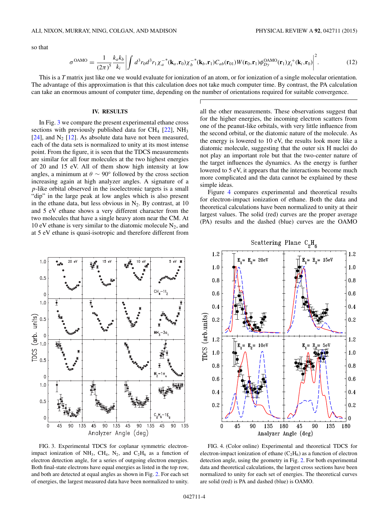so that

$$
\sigma^{\text{OAMO}} = \frac{1}{(2\pi)^5} \frac{k_a k_b}{k_i} \left| \int d^3 r_0 d^3 r_1 \chi_a^{-*}(\mathbf{k}_a, \mathbf{r}_0) \chi_b^{-*}(\mathbf{k}_b, \mathbf{r}_1) C_{ab}(\mathbf{r}_{01}) W(\mathbf{r}_0, \mathbf{r}_1) \phi_{Dy}^{\text{OAMO}}(\mathbf{r}_1) \chi_i^{+}(\mathbf{k}_i, \mathbf{r}_0) \right|^2. \tag{12}
$$

This is a *T* matrix just like one we would evaluate for ionization of an atom, or for ionization of a single molecular orientation. The advantage of this approximation is that this calculation does not take much computer time. By contrast, the PA calculation can take an enormous amount of computer time, depending on the number of orientations required for suitable convergence.

#### **IV. RESULTS**

In Fig. 3 we compare the present experimental ethane cross sections with previously published data for  $CH_4$  [\[22\]](#page-6-0), NH<sub>3</sub> [\[24\]](#page-6-0), and  $N_2$  [\[12\]](#page-6-0). As absolute data have not been measured, each of the data sets is normalized to unity at its most intense point. From the figure, it is seen that the TDCS measurements are similar for all four molecules at the two highest energies of 20 and 15 eV. All of them show high intensity at low angles, a minimum at  $\theta \sim 90^{\circ}$  followed by the cross section increasing again at high analyzer angles. A signature of a *p*-like orbital observed in the isoelectronic targets is a small "dip" in the large peak at low angles which is also present in the ethane data, but less obvious in  $N_2$ . By contrast, at 10 and 5 eV ethane shows a very different character from the two molecules that have a single heavy atom near the CM. At 10 eV ethane is very similar to the diatomic molecule  $N_2$ , and at 5 eV ethane is quasi-isotropic and therefore different from

all the other measurements. These observations suggest that for the higher energies, the incoming electron scatters from one of the peanut-like orbitals, with very little influence from the second orbital, or the diatomic nature of the molecule. As the energy is lowered to 10 eV, the results look more like a diatomic molecule, suggesting that the outer six H nuclei do not play an important role but that the two-center nature of the target influences the dynamics. As the energy is further lowered to 5 eV, it appears that the interactions become much more complicated and the data cannot be explained by these simple ideas.

Figure 4 compares experimental and theoretical results for electron-impact ionization of ethane. Both the data and theoretical calculations have been normalized to unity at their largest values. The solid (red) curves are the proper average (PA) results and the dashed (blue) curves are the OAMO





FIG. 3. Experimental TDCS for coplanar symmetric electronimpact ionization of NH<sub>3</sub>, CH<sub>4</sub>, N<sub>2</sub>, and C<sub>2</sub>H<sub>6</sub> as a function of electron detection angle, for a series of outgoing electron energies. Both final-state electrons have equal energies as listed in the top row, and both are detected at equal angles as shown in Fig. [2.](#page-2-0) For each set of energies, the largest measured data have been normalized to unity.

FIG. 4. (Color online) Experimental and theoretical TDCS for electron-impact ionization of ethane  $(C_2H_6)$  as a function of electron detection angle, using the geometry in Fig. [2.](#page-2-0) For both experimental data and theoretical calculations, the largest cross sections have been normalized to unity for each set of energies. The theoretical curves are solid (red) is PA and dashed (blue) is OAMO.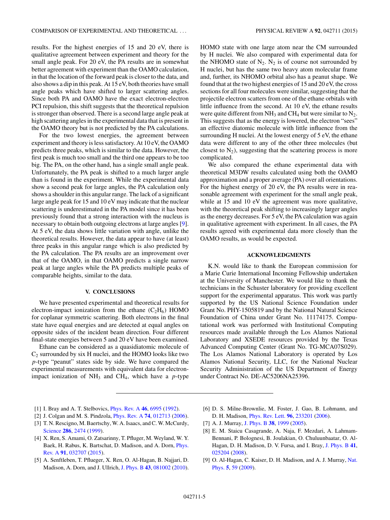<span id="page-5-0"></span>results. For the highest energies of 15 and 20 eV, there is qualitative agreement between experiment and theory for the small angle peak. For 20 eV, the PA results are in somewhat better agreement with experiment than the OAMO calculation, in that the location of the forward peak is closer to the data, and also shows a dip in this peak. At 15 eV, both theories have small angle peaks which have shifted to larger scattering angles. Since both PA and OAMO have the exact electron-electron PCI repulsion, this shift suggests that the theoretical repulsion is stronger than observed. There is a second large angle peak at high scattering angles in the experimental data that is present in the OAMO theory but is not predicted by the PA calculations.

For the two lowest energies, the agreement between experiment and theory is less satisfactory. At 10 eV, the OAMO predicts three peaks, which is similar to the data. However, the first peak is much too small and the third one appears to be too big. The PA, on the other hand, has a single small angle peak. Unfortunately, the PA peak is shifted to a much larger angle than is found in the experiment. While the experimental data show a second peak for large angles, the PA calculation only shows a shoulder in this angular range. The lack of a significant large angle peak for 15 and 10 eV may indicate that the nuclear scattering is underestimated in the PA model since it has been previously found that a strong interaction with the nucleus is necessary to obtain both outgoing electrons at large angles [9]. At 5 eV, the data shows little variation with angle, unlike the theoretical results. However, the data appear to have (at least) three peaks in this angular range which is also predicted by the PA calculation. The PA results are an improvement over that of the OAMO, in that OAMO predicts a single narrow peak at large angles while the PA predicts multiple peaks of comparable heights, similar to the data.

#### **V. CONCLUSIONS**

We have presented experimental and theoretical results for electron-impact ionization from the ethane  $(C_2H_6)$  HOMO for coplanar symmetric scattering. Both electrons in the final state have equal energies and are detected at equal angles on opposite sides of the incident beam direction. Four different final-state energies between 5 and 20 eV have been examined.

Ethane can be considered as a quasidiatomic molecule of  $C_2$  surrounded by six H nuclei, and the HOMO looks like two *p*-type "peanut" states side by side. We have compared the experimental measurements with equivalent data for electronimpact ionization of  $NH_3$  and  $CH_4$ , which have a *p*-type

HOMO state with one large atom near the CM surrounded by H nuclei. We also compared with experimental data for the NHOMO state of  $N_2$ .  $N_2$  is of course not surrounded by H nuclei, but has the same two heavy atom molecular frame and, further, its NHOMO orbital also has a peanut shape. We found that at the two highest energies of 15 and 20 eV, the cross sections for all four molecules were similar, suggesting that the projectile electron scatters from one of the ethane orbitals with little influence from the second. At 10 eV, the ethane results were quite different from  $NH_3$  and  $CH_4$  but were similar to  $N_2$ . This suggests that as the energy is lowered, the electron "sees" an effective diatomic molecule with little influence from the surrounding H nuclei. At the lowest energy of 5 eV, the ethane data were different to any of the other three molecules (but closest to  $N_2$ ), suggesting that the scattering process is more complicated.

We also compared the ethane experimental data with theoretical M3DW results calculated using both the OAMO approximation and a proper average (PA) over all orientations. For the highest energy of 20 eV, the PA results were in reasonable agreement with experiment for the small angle peak, while at 15 and 10 eV the agreement was more qualitative, with the theoretical peak shifting to increasingly larger angles as the energy decreases. For 5 eV, the PA calculation was again in qualitative agreement with experiment. In all cases, the PA results agreed with experimental data more closely than the OAMO results, as would be expected.

#### **ACKNOWLEDGMENTS**

K.N. would like to thank the European commission for a Marie Curie International Incoming Fellowship undertaken at the University of Manchester. We would like to thank the technicians in the Schuster laboratory for providing excellent support for the experimental apparatus. This work was partly supported by the US National Science Foundation under Grant No. PHY-1505819 and by the National Natural Science Foundation of China under Grant No. 11174175. Computational work was performed with Institutional Computing resources made available through the Los Alamos National Laboratory and XSEDE resources provided by the Texas Advanced Computing Center (Grant No. TG-MCA07S029). The Los Alamos National Laboratory is operated by Los Alamos National Security, LLC, for the National Nuclear Security Administration of the US Department of Energy under Contract No. DE-AC5206NA25396.

- [1] I. Bray and A. T. Stelbovics, [Phys. Rev. A](http://dx.doi.org/10.1103/PhysRevA.46.6995) **[46](http://dx.doi.org/10.1103/PhysRevA.46.6995)**, [6995](http://dx.doi.org/10.1103/PhysRevA.46.6995) [\(1992\)](http://dx.doi.org/10.1103/PhysRevA.46.6995).
- [2] J. Colgan and M. S. Pindzola, [Phys. Rev. A](http://dx.doi.org/10.1103/PhysRevA.74.012713) **[74](http://dx.doi.org/10.1103/PhysRevA.74.012713)**, [012713](http://dx.doi.org/10.1103/PhysRevA.74.012713) [\(2006\)](http://dx.doi.org/10.1103/PhysRevA.74.012713).
- [3] T. N. Rescigno, M. Baertschy, W. A. Isaacs, and C. W. McCurdy, [Science](http://dx.doi.org/10.1126/science.286.5449.2474) **[286](http://dx.doi.org/10.1126/science.286.5449.2474)**, [2474](http://dx.doi.org/10.1126/science.286.5449.2474) [\(1999\)](http://dx.doi.org/10.1126/science.286.5449.2474).
- [4] X. Ren, S. Amami, O. Zatsarinny, T. Pfluger, M. Weyland, W. Y. [Baek, H. Rabus, K. Bartschat, D. Madison, and A. Dorn,](http://dx.doi.org/10.1103/PhysRevA.91.032707) Phys. Rev. A **[91](http://dx.doi.org/10.1103/PhysRevA.91.032707)**, [032707](http://dx.doi.org/10.1103/PhysRevA.91.032707) [\(2015\)](http://dx.doi.org/10.1103/PhysRevA.91.032707).
- [5] A. Senftleben, T. Pflueger, X. Ren, O. Al-Hagan, B. Najjari, D. Madison, A. Dorn, and J. Ullrich, [J. Phys. B](http://dx.doi.org/10.1088/0953-4075/43/8/081002) **[43](http://dx.doi.org/10.1088/0953-4075/43/8/081002)**, [081002](http://dx.doi.org/10.1088/0953-4075/43/8/081002) [\(2010\)](http://dx.doi.org/10.1088/0953-4075/43/8/081002).
- [6] D. S. Milne-Brownlie, M. Foster, J. Gao, B. Lohmann, and D. H. Madison, [Phys. Rev. Lett.](http://dx.doi.org/10.1103/PhysRevLett.96.233201) **[96](http://dx.doi.org/10.1103/PhysRevLett.96.233201)**, [233201](http://dx.doi.org/10.1103/PhysRevLett.96.233201) [\(2006\)](http://dx.doi.org/10.1103/PhysRevLett.96.233201).
- [7] A. J. Murray, [J. Phys. B](http://dx.doi.org/10.1088/0953-4075/38/12/014) **[38](http://dx.doi.org/10.1088/0953-4075/38/12/014)**, [1999](http://dx.doi.org/10.1088/0953-4075/38/12/014) [\(2005\)](http://dx.doi.org/10.1088/0953-4075/38/12/014).
- [8] E. M. Staicu Casagrande, A. Naja, F. Mezdari, A. Lahmam-Bennani, P. Bolognesi, B. Joulakian, O. Chuluunbaatar, O. Al-Hagan, D. H. Madison, D. V. Fursa, and I. Bray, [J. Phys. B](http://dx.doi.org/10.1088/0953-4075/41/2/025204) **[41](http://dx.doi.org/10.1088/0953-4075/41/2/025204)**, [025204](http://dx.doi.org/10.1088/0953-4075/41/2/025204) [\(2008\)](http://dx.doi.org/10.1088/0953-4075/41/2/025204).
- [9] [O. Al-Hagan, C. Kaiser, D. H. Madison, and A. J. Murray,](http://dx.doi.org/10.1038/nphys1135) Nat. Phys. **[5](http://dx.doi.org/10.1038/nphys1135)**, [59](http://dx.doi.org/10.1038/nphys1135) [\(2009\)](http://dx.doi.org/10.1038/nphys1135).